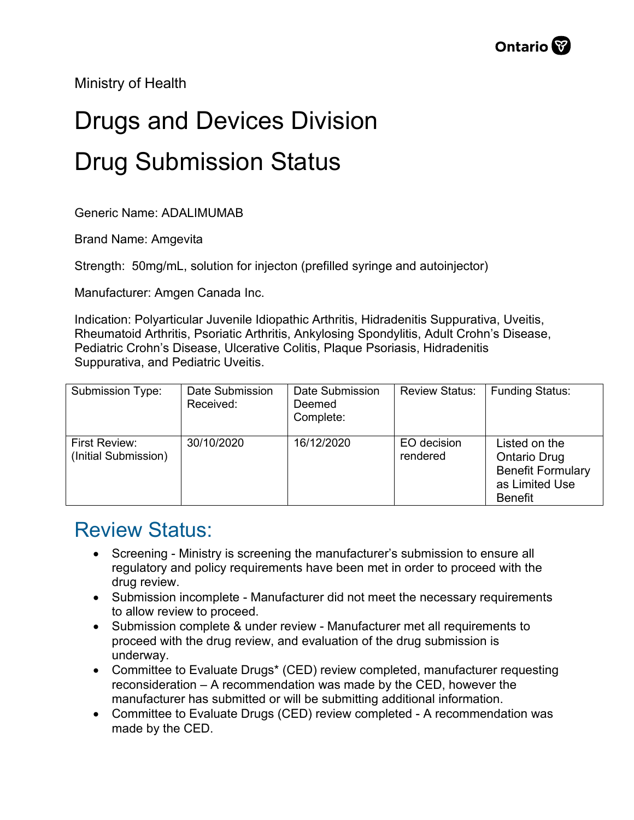Ministry of Health

## Drugs and Devices Division Drug Submission Status

Generic Name: ADALIMUMAB

Brand Name: Amgevita

Strength: 50mg/mL, solution for injecton (prefilled syringe and autoinjector)

Manufacturer: Amgen Canada Inc.

Indication: Polyarticular Juvenile Idiopathic Arthritis, Hidradenitis Suppurativa, Uveitis, Rheumatoid Arthritis, Psoriatic Arthritis, Ankylosing Spondylitis, Adult Crohn's Disease, Pediatric Crohn's Disease, Ulcerative Colitis, Plaque Psoriasis, Hidradenitis Suppurativa, and Pediatric Uveitis.

| Submission Type:                      | Date Submission<br>Received: | Date Submission<br>Deemed<br>Complete: | <b>Review Status:</b>   | <b>Funding Status:</b>                                                                               |
|---------------------------------------|------------------------------|----------------------------------------|-------------------------|------------------------------------------------------------------------------------------------------|
| First Review:<br>(Initial Submission) | 30/10/2020                   | 16/12/2020                             | EO decision<br>rendered | Listed on the<br><b>Ontario Drug</b><br><b>Benefit Formulary</b><br>as Limited Use<br><b>Benefit</b> |

## Review Status:

- Screening Ministry is screening the manufacturer's submission to ensure all regulatory and policy requirements have been met in order to proceed with the drug review.
- Submission incomplete Manufacturer did not meet the necessary requirements to allow review to proceed.
- Submission complete & under review Manufacturer met all requirements to proceed with the drug review, and evaluation of the drug submission is underway.
- Committee to Evaluate Drugs\* (CED) review completed, manufacturer requesting reconsideration – A recommendation was made by the CED, however the manufacturer has submitted or will be submitting additional information.
- Committee to Evaluate Drugs (CED) review completed A recommendation was made by the CED.